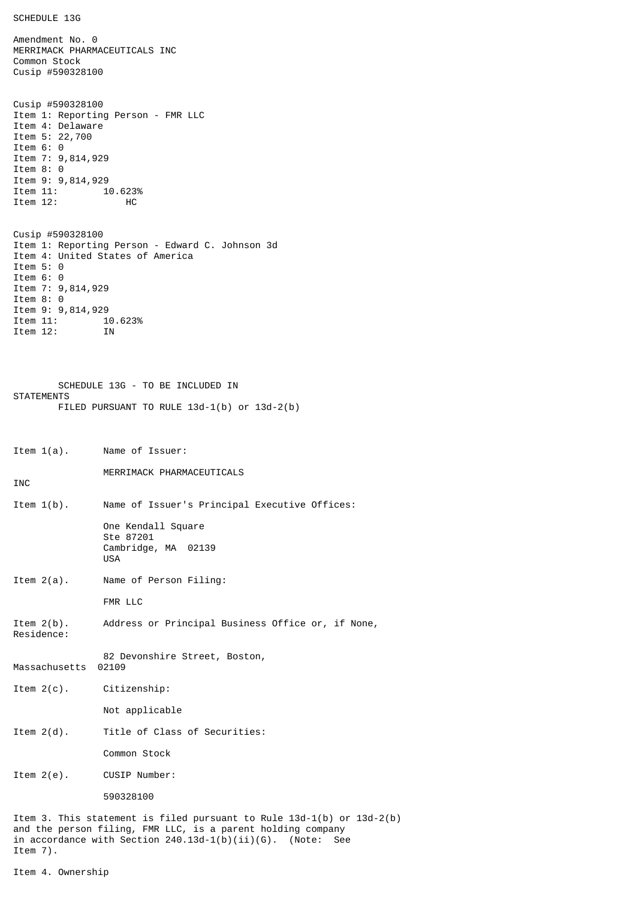SCHEDULE 13G

Amendment No. 0 MERRIMACK PHARMACEUTICALS INC Common Stock Cusip #590328100 Cusip #590328100 Item 1: Reporting Person - FMR LLC Item 4: Delaware Item 5: 22,700 Item 6: 0 Item 7: 9,814,929 Item 8: 0 Item 9: 9,814,929<br>Item 11: 1 10.623% Item 12: HC Cusip #590328100 Item 1: Reporting Person - Edward C. Johnson 3d Item 4: United States of America Item 5: 0 Item 6: 0 Item 7: 9,814,929 Item 8: 0 Item 9: 9,814,929<br>Item 11: 1 10.623% Item 12: IN SCHEDULE 13G - TO BE INCLUDED IN **STATEMENTS** FILED PURSUANT TO RULE 13d-1(b) or 13d-2(b) Item 1(a). Name of Issuer: MERRIMACK PHARMACEUTICALS INC Item 1(b). Name of Issuer's Principal Executive Offices: One Kendall Square Ste 87201 Cambridge, MA 02139 USA Item 2(a). Name of Person Filing: FMR LLC Item 2(b). Address or Principal Business Office or, if None, Residence: 82 Devonshire Street, Boston, Massachusetts 02109 Item 2(c). Citizenship: Not applicable Item 2(d). Title of Class of Securities: Common Stock Item 2(e). CUSIP Number: 590328100 Item 3. This statement is filed pursuant to Rule 13d-1(b) or 13d-2(b) and the person filing, FMR LLC, is a parent holding company in accordance with Section  $240.13d-1(b)(ii)(G)$ . (Note: See Item 7).

Item 4. Ownership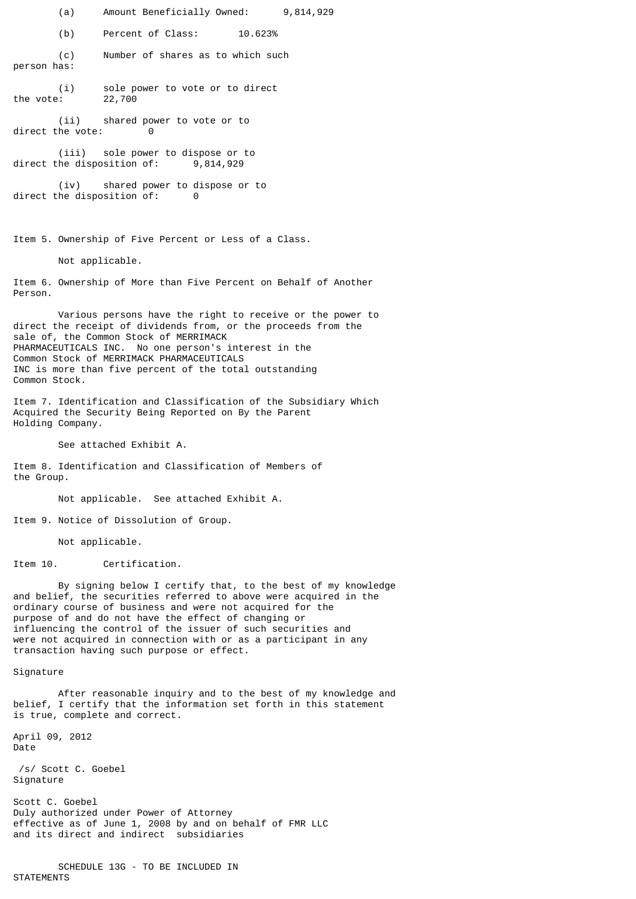(a) Amount Beneficially Owned: 9,814,929

(b) Percent of Class: 10.623%

(c) Number of shares as to which such person has:

(i) sole power to vote or to direct<br>: 22,700 the vote:

(ii) shared power to vote or to direct the vote: 0

(iii) sole power to dispose or to direct the disposition of: 9,814,929

(iv) shared power to dispose or to direct the disposition of: 0

Item 5. Ownership of Five Percent or Less of a Class.

Not applicable.

Item 6. Ownership of More than Five Percent on Behalf of Another Person.

Various persons have the right to receive or the power to direct the receipt of dividends from, or the proceeds from the sale of, the Common Stock of MERRIMACK PHARMACEUTICALS INC. No one person's interest in the Common Stock of MERRIMACK PHARMACEUTICALS INC is more than five percent of the total outstanding Common Stock.

Item 7. Identification and Classification of the Subsidiary Which Acquired the Security Being Reported on By the Parent Holding Company.

See attached Exhibit A.

Item 8. Identification and Classification of Members of the Group.

Not applicable. See attached Exhibit A.

Item 9. Notice of Dissolution of Group.

Not applicable.

Item 10. Certification.

By signing below I certify that, to the best of my knowledge and belief, the securities referred to above were acquired in the ordinary course of business and were not acquired for the purpose of and do not have the effect of changing or influencing the control of the issuer of such securities and were not acquired in connection with or as a participant in any transaction having such purpose or effect.

Signature

After reasonable inquiry and to the best of my knowledge and belief, I certify that the information set forth in this statement is true, complete and correct.

April 09, 2012 Date

 /s/ Scott C. Goebel Signature

Scott C. Goebel Duly authorized under Power of Attorney effective as of June 1, 2008 by and on behalf of FMR LLC and its direct and indirect subsidiaries

SCHEDULE 13G - TO BE INCLUDED IN **STATEMENTS**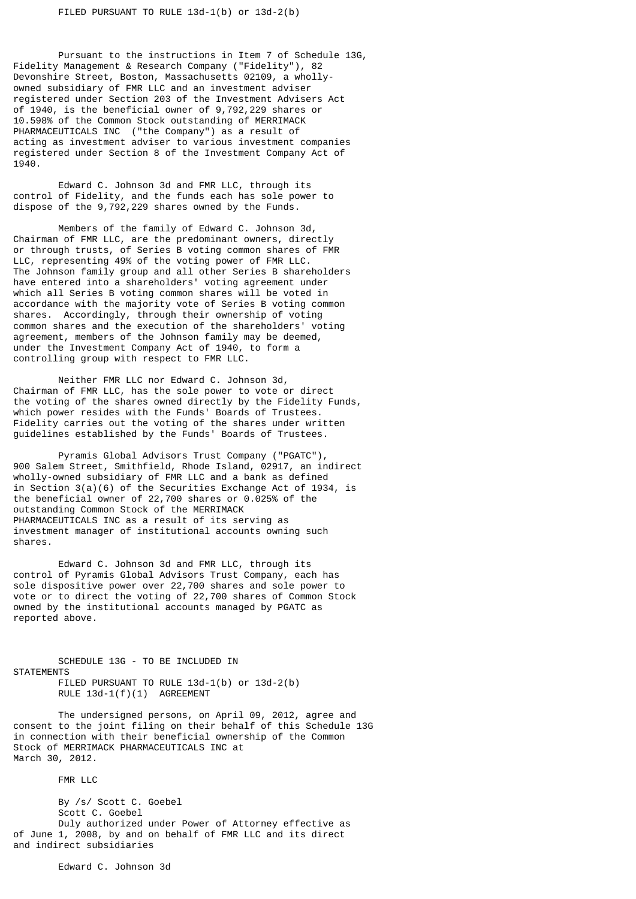Pursuant to the instructions in Item 7 of Schedule 13G, Fidelity Management & Research Company ("Fidelity"), 82 Devonshire Street, Boston, Massachusetts 02109, a whollyowned subsidiary of FMR LLC and an investment adviser registered under Section 203 of the Investment Advisers Act of 1940, is the beneficial owner of 9,792,229 shares or 10.598% of the Common Stock outstanding of MERRIMACK PHARMACEUTICALS INC ("the Company") as a result of acting as investment adviser to various investment companies registered under Section 8 of the Investment Company Act of 1940.

Edward C. Johnson 3d and FMR LLC, through its control of Fidelity, and the funds each has sole power to dispose of the 9,792,229 shares owned by the Funds.

Members of the family of Edward C. Johnson 3d, Chairman of FMR LLC, are the predominant owners, directly or through trusts, of Series B voting common shares of FMR LLC, representing 49% of the voting power of FMR LLC. The Johnson family group and all other Series B shareholders have entered into a shareholders' voting agreement under which all Series B voting common shares will be voted in accordance with the majority vote of Series B voting common shares. Accordingly, through their ownership of voting common shares and the execution of the shareholders' voting agreement, members of the Johnson family may be deemed, under the Investment Company Act of 1940, to form a controlling group with respect to FMR LLC.

Neither FMR LLC nor Edward C. Johnson 3d, Chairman of FMR LLC, has the sole power to vote or direct the voting of the shares owned directly by the Fidelity Funds, which power resides with the Funds' Boards of Trustees. Fidelity carries out the voting of the shares under written guidelines established by the Funds' Boards of Trustees.

Pyramis Global Advisors Trust Company ("PGATC"), 900 Salem Street, Smithfield, Rhode Island, 02917, an indirect wholly-owned subsidiary of FMR LLC and a bank as defined in Section 3(a)(6) of the Securities Exchange Act of 1934, is the beneficial owner of 22,700 shares or 0.025% of the outstanding Common Stock of the MERRIMACK PHARMACEUTICALS INC as a result of its serving as investment manager of institutional accounts owning such shares.

Edward C. Johnson 3d and FMR LLC, through its control of Pyramis Global Advisors Trust Company, each has sole dispositive power over 22,700 shares and sole power to vote or to direct the voting of 22,700 shares of Common Stock owned by the institutional accounts managed by PGATC as reported above.

SCHEDULE 13G - TO BE INCLUDED IN **STATEMENTS** FILED PURSUANT TO RULE 13d-1(b) or 13d-2(b) RULE 13d-1(f)(1) AGREEMENT

The undersigned persons, on April 09, 2012, agree and consent to the joint filing on their behalf of this Schedule 13G in connection with their beneficial ownership of the Common Stock of MERRIMACK PHARMACEUTICALS INC at March 30, 2012.

FMR LLC

By /s/ Scott C. Goebel Scott C. Goebel Duly authorized under Power of Attorney effective as of June 1, 2008, by and on behalf of FMR LLC and its direct and indirect subsidiaries

Edward C. Johnson 3d